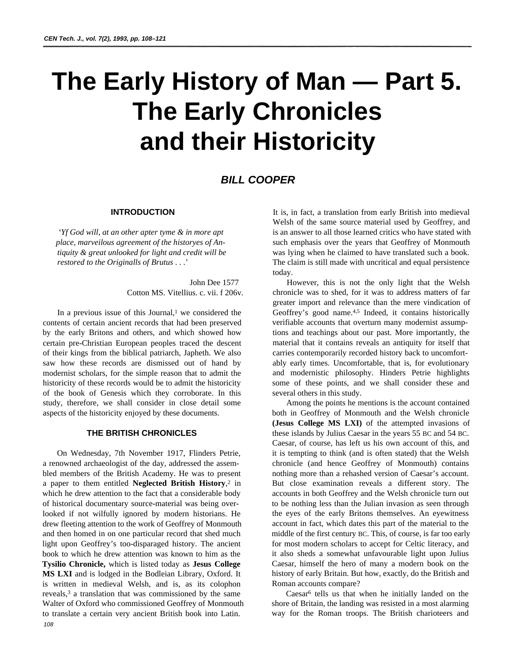# **The Early History of Man — Part 5. The Early Chronicles and their Historicity**

## *BILL COOPER*

## **INTRODUCTION**

*'Yf God will, at an other apter tyme & in more apt place, marveilous agreement of the historyes of Antiquity & great unlooked for light and credit will be restored to the Originalls of Brutus* . . .'

> John Dee 1577 Cotton MS. Vitellius. c. vii. f 206v.

In a previous issue of this Journal, $<sup>1</sup>$  we considered the</sup> contents of certain ancient records that had been preserved by the early Britons and others, and which showed how certain pre-Christian European peoples traced the descent of their kings from the biblical patriarch, Japheth. We also saw how these records are dismissed out of hand by modernist scholars, for the simple reason that to admit the historicity of these records would be to admit the historicity of the book of Genesis which they corroborate. In this study, therefore, we shall consider in close detail some aspects of the historicity enjoyed by these documents.

## **THE BRITISH CHRONICLES**

On Wednesday, 7th November 1917, Flinders Petrie, a renowned archaeologist of the day, addressed the assembled members of the British Academy. He was to present a paper to them entitled **Neglected British History**, 2 in which he drew attention to the fact that a considerable body of historical documentary source-material was being overlooked if not wilfully ignored by modern historians. He drew fleeting attention to the work of Geoffrey of Monmouth and then homed in on one particular record that shed much light upon Geoffrey's too-disparaged history. The ancient book to which he drew attention was known to him as the **Tysilio Chronicle,** which is listed today as **Jesus College MS LXI** and is lodged in the Bodleian Library, Oxford. It is written in medieval Welsh, and is, as its colophon reveals, $3$  a translation that was commissioned by the same Walter of Oxford who commissioned Geoffrey of Monmouth to translate a certain very ancient British book into Latin. *108*

It is, in fact, a translation from early British into medieval Welsh of the same source material used by Geoffrey, and is an answer to all those learned critics who have stated with such emphasis over the years that Geoffrey of Monmouth was lying when he claimed to have translated such a book. The claim is still made with uncritical and equal persistence today.

However, this is not the only light that the Welsh chronicle was to shed, for it was to address matters of far greater import and relevance than the mere vindication of Geoffrey's good name.<sup>4,5</sup> Indeed, it contains historically verifiable accounts that overturn many modernist assumptions and teachings about our past. More importantly, the material that it contains reveals an antiquity for itself that carries contemporarily recorded history back to uncomfortably early times. Uncomfortable, that is, for evolutionary and modernistic philosophy. Hinders Petrie highlights some of these points, and we shall consider these and several others in this study.

Among the points he mentions is the account contained both in Geoffrey of Monmouth and the Welsh chronicle **(Jesus College MS LXI)** of the attempted invasions of these islands by Julius Caesar in the years 55 BC and 54 BC. Caesar, of course, has left us his own account of this, and it is tempting to think (and is often stated) that the Welsh chronicle (and hence Geoffrey of Monmouth) contains nothing more than a rehashed version of Caesar's account. But close examination reveals a different story. The accounts in both Geoffrey and the Welsh chronicle turn out to be nothing less than the Julian invasion as seen through the eyes of the early Britons themselves. An eyewitness account in fact, which dates this part of the material to the middle of the first century BC. This, of course, is far too early for most modern scholars to accept for Celtic literacy, and it also sheds a somewhat unfavourable light upon Julius Caesar, himself the hero of many a modern book on the history of early Britain. But how, exactly, do the British and Roman accounts compare?

Caesar6 tells us that when he initially landed on the shore of Britain, the landing was resisted in a most alarming way for the Roman troops. The British charioteers and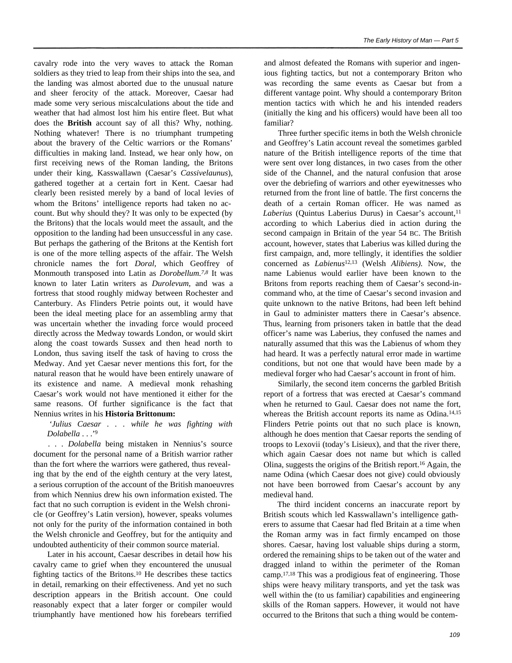cavalry rode into the very waves to attack the Roman soldiers as they tried to leap from their ships into the sea, and the landing was almost aborted due to the unusual nature and sheer ferocity of the attack. Moreover, Caesar had made some very serious miscalculations about the tide and weather that had almost lost him his entire fleet. But what does the **British** account say of all this? Why, nothing. Nothing whatever! There is no triumphant trumpeting about the bravery of the Celtic warriors or the Romans' difficulties in making land. Instead, we hear only how, on first receiving news of the Roman landing, the Britons under their king, Kasswallawn (Caesar's *Cassivelaunus*), gathered together at a certain fort in Kent. Caesar had clearly been resisted merely by a band of local levies of whom the Britons' intelligence reports had taken no account. But why should they? It was only to be expected (by the Britons) that the locals would meet the assault, and the opposition to the landing had been unsuccessful in any case. But perhaps the gathering of the Britons at the Kentish fort is one of the more telling aspects of the affair. The Welsh chronicle names the fort *Doral,* which Geoffrey of Monmouth transposed into Latin as *Dorobellum.7,8* It was known to later Latin writers as *Durolevum,* and was a fortress that stood roughly midway between Rochester and Canterbury. As Flinders Petrie points out, it would have been the ideal meeting place for an assembling army that was uncertain whether the invading force would proceed directly across the Medway towards London, or would skirt along the coast towards Sussex and then head north to London, thus saving itself the task of having to cross the Medway. And yet Caesar never mentions this fort, for the natural reason that he would have been entirely unaware of its existence and name. A medieval monk rehashing Caesar's work would not have mentioned it either for the same reasons. Of further significance is the fact that Nennius writes in his **Historia Brittonum:**

*'Julius Caesar . . . while he was fighting with Dolabella* . . .'<sup>9</sup>

*. . . Dolabella* being mistaken in Nennius's source document for the personal name of a British warrior rather than the fort where the warriors were gathered, thus revealing that by the end of the eighth century at the very latest, a serious corruption of the account of the British manoeuvres from which Nennius drew his own information existed. The fact that no such corruption is evident in the Welsh chronicle (or Geoffrey's Latin version), however, speaks volumes not only for the purity of the information contained in both the Welsh chronicle and Geoffrey, but for the antiquity and undoubted authenticity of their common source material.

Later in his account, Caesar describes in detail how his cavalry came to grief when they encountered the unusual fighting tactics of the Britons.10 He describes these tactics in detail, remarking on their effectiveness. And yet no such description appears in the British account. One could reasonably expect that a later forger or compiler would triumphantly have mentioned how his forebears terrified

and almost defeated the Romans with superior and ingenious fighting tactics, but not a contemporary Briton who was recording the same events as Caesar but from a different vantage point. Why should a contemporary Briton mention tactics with which he and his intended readers (initially the king and his officers) would have been all too familiar?

Three further specific items in both the Welsh chronicle and Geoffrey's Latin account reveal the sometimes garbled nature of the British intelligence reports of the time that were sent over long distances, in two cases from the other side of the Channel, and the natural confusion that arose over the debriefing of warriors and other eyewitnesses who returned from the front line of battle. The first concerns the death of a certain Roman officer. He was named as *Laberius* (Quintus Laberius Durus) in Caesar's account,<sup>11</sup> according to which Laberius died in action during the second campaign in Britain of the year 54 BC. The British account, however, states that Laberius was killed during the first campaign, and, more tellingly, it identifies the soldier concerned as *Labienus*12,13 (Welsh *Alibiens).* Now, the name Labienus would earlier have been known to the Britons from reports reaching them of Caesar's second-incommand who, at the time of Caesar's second invasion and quite unknown to the native Britons, had been left behind in Gaul to administer matters there in Caesar's absence. Thus, learning from prisoners taken in battle that the dead officer's name was Laberius, they confused the names and naturally assumed that this was the Labienus of whom they had heard. It was a perfectly natural error made in wartime conditions, but not one that would have been made by a medieval forger who had Caesar's account in front of him.

Similarly, the second item concerns the garbled British report of a fortress that was erected at Caesar's command when he returned to Gaul. Caesar does not name the fort, whereas the British account reports its name as Odina.<sup>14,15</sup> Flinders Petrie points out that no such place is known, although he does mention that Caesar reports the sending of troops to Lexovii (today's Lisieux), and that the river there, which again Caesar does not name but which is called Olina, suggests the origins of the British report.16 Again, the name Odina (which Caesar does not give) could obviously not have been borrowed from Caesar's account by any medieval hand.

The third incident concerns an inaccurate report by British scouts which led Kasswallawn's intelligence gatherers to assume that Caesar had fled Britain at a time when the Roman army was in fact firmly encamped on those shores. Caesar, having lost valuable ships during a storm, ordered the remaining ships to be taken out of the water and dragged inland to within the perimeter of the Roman camp.17,18 This was a prodigious feat of engineering. Those ships were heavy military transports, and yet the task was well within the (to us familiar) capabilities and engineering skills of the Roman sappers. However, it would not have occurred to the Britons that such a thing would be contem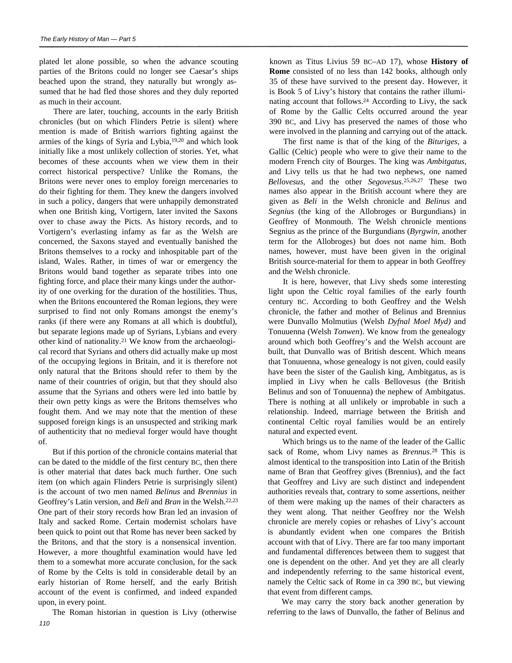plated let alone possible, so when the advance scouting parties of the Britons could no longer see Caesar's ships beached upon the strand, they naturally but wrongly assumed that he had fled those shores and they duly reported as much in their account.

There are later, touching, accounts in the early British chronicles (but on which Flinders Petrie is silent) where mention is made of British warriors fighting against the armies of the kings of Syria and Lybia,19,20 and which look initially like a most unlikely collection of stories. Yet, what becomes of these accounts when we view them in their correct historical perspective? Unlike the Romans, the Britons were never ones to employ foreign mercenaries to do their fighting for them. They knew the dangers involved in such a policy, dangers that were unhappily demonstrated when one British king, Vortigern, later invited the Saxons over to chase away the Picts. As history records, and to Vortigern's everlasting infamy as far as the Welsh are concerned, the Saxons stayed and eventually banished the Britons themselves to a rocky and inhospitable part of the island, Wales. Rather, in times of war or emergency the Britons would band together as separate tribes into one fighting force, and place their many kings under the authority of one overking for the duration of the hostilities. Thus, when the Britons encountered the Roman legions, they were surprised to find not only Romans amongst the enemy's ranks (if there were any Romans at all which is doubtful), but separate legions made up of Syrians, Lybians and every other kind of nationality.21 We know from the archaeological record that Syrians and others did actually make up most of the occupying legions in Britain, and it is therefore not only natural that the Britons should refer to them by the name of their countries of origin, but that they should also assume that the Syrians and others were led into battle by their own petty kings as were the Britons themselves who fought them. And we may note that the mention of these supposed foreign kings is an unsuspected and striking mark of authenticity that no medieval forger would have thought of.

But if this portion of the chronicle contains material that can be dated to the middle of the first century BC, then there is other material that dates back much further. One such item (on which again Flinders Petrie is surprisingly silent) is the account of two men named *Belinus* and *Brennius* in Geoffrey's Latin version, and *Beli* and *Bran* in the Welsh.22,23 One part of their story records how Bran led an invasion of Italy and sacked Rome. Certain modernist scholars have been quick to point out that Rome has never been sacked by the Britons, and that the story is a nonsensical invention. However, a more thoughtful examination would have led them to a somewhat more accurate conclusion, for the sack of Rome by the Celts is told in considerable detail by an early historian of Rome herself, and the early British account of the event is confirmed, and indeed expanded upon, in every point.

The Roman historian in question is Livy (otherwise

known as Titus Livius 59 BC–AD 17), whose **History of Rome** consisted of no less than 142 books, although only 35 of these have survived to the present day. However, it is Book 5 of Livy's history that contains the rather illuminating account that follows.<sup>24</sup> According to Livy, the sack of Rome by the Gallic Celts occurred around the year 390 BC, and Livy has preserved the names of those who were involved in the planning and carrying out of the attack.

The first name is that of the king of the *Bituriges,* a Gallic (Celtic) people who were to give their name to the modern French city of Bourges. The king was *Ambitgatus,* and Livy tells us that he had two nephews, one named *Bellovesus,* and the other *Segovesus*. 25,26,27 These two names also appear in the British account where they are given as *Beli* in the Welsh chronicle and *Belinus* and *Segnius* (the king of the Allobroges or Burgundians) in Geoffrey of Monmouth. The Welsh chronicle mentions Segnius as the prince of the Burgundians (*Byrgwin*, another term for the Allobroges) but does not name him. Both names, however, must have been given in the original British source-material for them to appear in both Geoffrey and the Welsh chronicle.

It is here, however, that Livy sheds some interesting light upon the Celtic royal families of the early fourth century BC. According to both Geoffrey and the Welsh chronicle, the father and mother of Belinus and Brennius were Dunvallo Molmutius (Welsh *Dyfnal Moel Myd)* and Tonuuenna (Welsh *Tonwen*). We know from the genealogy around which both Geoffrey's and the Welsh account are built, that Dunvallo was of British descent. Which means that Tonuuenna, whose genealogy is not given, could easily have been the sister of the Gaulish king, Ambitgatus, as is implied in Livy when he calls Bellovesus (the British Belinus and son of Tonuuenna) the nephew of Ambitgatus. There is nothing at all unlikely or improbable in such a relationship. Indeed, marriage between the British and continental Celtic royal families would be an entirely natural and expected event.

Which brings us to the name of the leader of the Gallic sack of Rome, whom Livy names as *Brennus*. <sup>28</sup> This is almost identical to the transposition into Latin of the British name of Bran that Geoffrey gives (Brennius), and the fact that Geoffrey and Livy are such distinct and independent authorities reveals that, contrary to some assertions, neither of them were making up the names of their characters as they went along. That neither Geoffrey nor the Welsh chronicle are merely copies or rehashes of Livy's account is abundantly evident when one compares the British account with that of Livy. There are far too many important and fundamental differences between them to suggest that one is dependent on the other. And yet they are all clearly and independently referring to the same historical event, namely the Celtic sack of Rome in ca 390 BC, but viewing that event from different camps.

We may carry the story back another generation by referring to the laws of Dunvallo, the father of Belinus and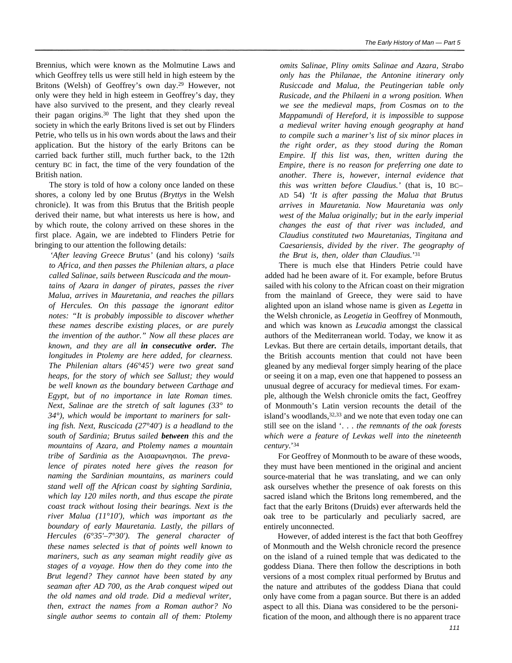Brennius, which were known as the Molmutine Laws and which Geoffrey tells us were still held in high esteem by the Britons (Welsh) of Geoffrey's own day.<sup>29</sup> However, not only were they held in high esteem in Geoffrey's day, they have also survived to the present, and they clearly reveal their pagan origins.<sup>30</sup> The light that they shed upon the society in which the early Britons lived is set out by Flinders Petrie, who tells us in his own words about the laws and their application. But the history of the early Britons can be carried back further still, much further back, to the 12th century BC in fact, the time of the very foundation of the British nation.

The story is told of how a colony once landed on these shores, a colony led by one Brutus *(Bryttys* in the Welsh chronicle). It was from this Brutus that the British people derived their name, but what interests us here is how, and by which route, the colony arrived on these shores in the first place. Again, we are indebted to Flinders Petrie for bringing to our attention the following details:

*'After leaving Greece Brutus'* (and his colony) *'sails to Africa, and then passes the Philenian altars, a place called Salinae, sails between Ruscicada and the mountains of Azara in danger of pirates, passes the river Malua, arrives in Mauretania, and reaches the pillars of Hercules. On this passage the ignorant editor notes: "It is probably impossible to discover whether these names describe existing places, or are purely the invention of the author." Now all these places are known, and they are all in consecutive order. The longitudes in Ptolemy are here added, for clearness. The Philenian altars (46°45') were two great sand heaps, for the story of which see Sallust; they would be well known as the boundary between Carthage and Egypt, but of no importance in late Roman times. Next, Salinae are the stretch of salt lagunes (33° to 34°), which would be important to mariners for salting fish. Next, Ruscicada (27°40') is a headland to the south of Sardinia; Brutus sailed between this and the mountains of Azara, and Ptolemy names a mountain tribe of Sardinia as the* **Algebra** *filterally prevalence of pirates noted here gives the reason for naming the Sardinian mountains, as mariners could stand well off the African coast by sighting Sardinia, which lay 120 miles north, and thus escape the pirate coast track without losing their bearings. Next is the river Malua (11°10'), which was important as the boundary of early Mauretania. Lastly, the pillars of Hercules (6°35'–7°30'). The general character of these names selected is that of points well known to mariners, such as any seaman might readily give as stages of a voyage. How then do they come into the Brut legend? They cannot have been stated by any seaman after AD 700, as the Arab conquest wiped out the old names and old trade. Did a medieval writer, then, extract the names from a Roman author? No single author seems to contain all of them: Ptolemy*

*omits Salinae, Pliny omits Salinae and Azara, Strabo only has the Philanae, the Antonine itinerary only Rusiccade and Malua, the Peutingerian table only Rusicade, and the Philaeni in a wrong position. When we see the medieval maps, from Cosmas on to the Mappamundi of Hereford, it is impossible to suppose a medieval writer having enough geography at hand to compile such a mariner's list of six minor places in the right order, as they stood during the Roman Empire. If this list was, then, written during the Empire, there is no reason for preferring one date to another. There is, however, internal evidence that this was written before Claudius.'* (that is, 10 BC– AD 54) *'It is after passing the Malua that Brutus arrives in Mauretania. Now Mauretania was only west of the Malua originally; but in the early imperial changes the east of that river was included, and Claudius constituted two Mauretanias, Tingitana and Caesariensis, divided by the river. The geography of the Brut is, then, older than Claudius.*' 31

*The Early History of Man* — *Part 5*

There is much else that Hinders Petrie could have added had he been aware of it. For example, before Brutus sailed with his colony to the African coast on their migration from the mainland of Greece, they were said to have alighted upon an island whose name is given as *Legetta* in the Welsh chronicle, as *Leogetia* in Geoffrey of Monmouth, and which was known as *Leucadia* amongst the classical authors of the Mediterranean world. Today, we know it as Levkas. But there are certain details, important details, that the British accounts mention that could not have been gleaned by any medieval forger simply hearing of the place or seeing it on a map, even one that happened to possess an unusual degree of accuracy for medieval times. For example, although the Welsh chronicle omits the fact, Geoffrey of Monmouth's Latin version recounts the detail of the island's woodlands,  $32,33$  and we note that even today one can still see on the island '. . . *the remnants of the oak forests which were a feature of Levkas well into the nineteenth century*.'<sup>34</sup>

For Geoffrey of Monmouth to be aware of these woods, they must have been mentioned in the original and ancient source-material that he was translating, and we can only ask ourselves whether the presence of oak forests on this sacred island which the Britons long remembered, and the fact that the early Britons (Druids) ever afterwards held the oak tree to be particularly and peculiarly sacred, are entirely unconnected.

However, of added interest is the fact that both Geoffrey of Monmouth and the Welsh chronicle record the presence on the island of a ruined temple that was dedicated to the goddess Diana. There then follow the descriptions in both versions of a most complex ritual performed by Brutus and the nature and attributes of the goddess Diana that could only have come from a pagan source. But there is an added aspect to all this. Diana was considered to be the personification of the moon, and although there is no apparent trace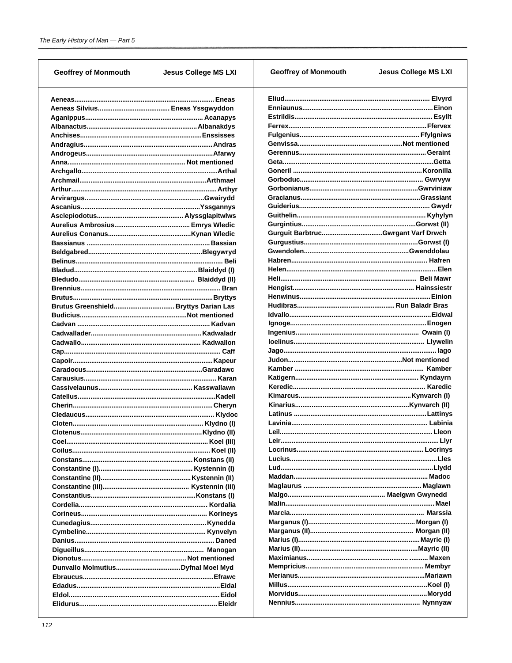| <b>Geoffrey of Monmouth</b> | <b>Jesus College MS LXI</b> | <b>Geoffrey of Monmouth</b> | <b>Jesus College MS LXI</b> |
|-----------------------------|-----------------------------|-----------------------------|-----------------------------|
|                             |                             |                             |                             |
|                             |                             |                             |                             |
|                             |                             |                             |                             |
|                             |                             |                             |                             |
|                             |                             |                             |                             |
|                             |                             |                             |                             |
|                             |                             |                             |                             |
|                             |                             |                             |                             |
|                             |                             |                             |                             |
|                             |                             |                             |                             |
|                             |                             |                             |                             |
|                             |                             |                             |                             |
|                             |                             |                             |                             |
|                             |                             |                             |                             |
|                             |                             |                             |                             |
|                             |                             |                             |                             |
|                             |                             |                             |                             |
|                             |                             |                             |                             |
|                             |                             |                             |                             |
|                             |                             |                             |                             |
|                             |                             |                             |                             |
|                             |                             |                             |                             |
|                             |                             |                             |                             |
|                             |                             |                             |                             |
|                             |                             |                             |                             |
|                             |                             |                             |                             |
|                             |                             |                             |                             |
|                             |                             |                             |                             |
|                             |                             |                             |                             |
|                             |                             |                             |                             |
|                             |                             |                             |                             |
|                             |                             |                             |                             |
|                             |                             |                             |                             |
|                             |                             |                             |                             |
|                             |                             |                             |                             |
|                             |                             |                             |                             |
|                             |                             |                             |                             |
|                             |                             |                             |                             |
|                             |                             |                             |                             |
|                             |                             |                             |                             |
|                             |                             |                             |                             |
|                             |                             |                             |                             |
|                             |                             |                             |                             |
|                             |                             |                             |                             |
|                             |                             |                             |                             |
|                             |                             |                             |                             |
|                             |                             |                             |                             |
|                             |                             |                             |                             |
|                             |                             |                             |                             |
|                             |                             |                             |                             |
|                             |                             |                             |                             |
|                             |                             |                             |                             |
|                             |                             |                             |                             |
|                             |                             |                             |                             |
|                             |                             |                             |                             |
|                             |                             |                             |                             |
|                             |                             |                             |                             |
|                             |                             |                             |                             |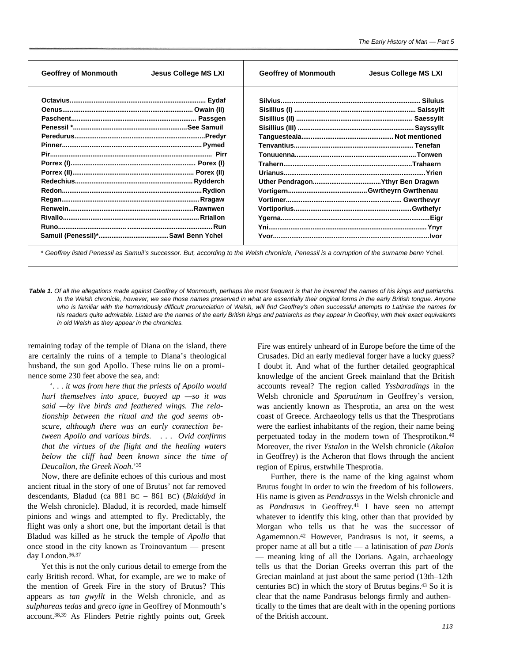| <b>Geoffrey of Monmouth</b> | <b>Geoffrey of Monmouth</b> |
|-----------------------------|-----------------------------|
| Jesus College MS LXI        | Jesus College MS LXI        |
|                             |                             |
|                             |                             |
|                             |                             |
|                             |                             |
|                             |                             |
|                             |                             |
|                             |                             |
|                             |                             |
|                             |                             |
|                             |                             |
|                             |                             |
|                             |                             |
|                             |                             |
|                             |                             |
|                             |                             |
|                             |                             |

\* *Geoffrey listed Penessil as Samuil's successor. But, according to the Welsh chronicle, Penessil is a corruption of the surname benn* Ychel.

*Table 1. Of all the allegations made against Geoffrey of Monmouth, perhaps the most frequent is that he invented the names of his kings and patriarchs. In the Welsh chronicle, however, we see those names preserved in what are essentially their original forms in the early British tongue. Anyone who is familiar with the horrendously difficult pronunciation of Welsh, will find Geoffrey's often successful attempts to Latinise the names for his readers quite admirable. Listed are the names of the early British kings and patriarchs as they appear in Geoffrey, with their exact equivalents in old Welsh as they appear in the chronicles.*

remaining today of the temple of Diana on the island, there are certainly the ruins of a temple to Diana's theological husband, the sun god Apollo. These ruins lie on a prominence some 230 feet above the sea, and:

'. . . *it was from here that the priests of Apollo would hurl themselves into space, buoyed up —so it was said —by live birds and feathered wings. The relationship between the ritual and the god seems obscure, although there was an early connection between Apollo and various birds*. ... *Ovid confirms that the virtues of the flight and the healing waters below the cliff had been known since the time of Deucalion, the Greek Noah*.'<sup>35</sup>

Now, there are definite echoes of this curious and most ancient ritual in the story of one of Brutus' not far removed descendants, Bladud (ca 881 BC – 861 BC) (*Blaiddyd* in the Welsh chronicle). Bladud, it is recorded, made himself pinions and wings and attempted to fly. Predictably, the flight was only a short one, but the important detail is that Bladud was killed as he struck the temple of *Apollo* that once stood in the city known as Troinovantum — present day London.36,37

Yet this is not the only curious detail to emerge from the early British record. What, for example, are we to make of the mention of Greek Fire in the story of Brutus? This appears as *tan gwyllt* in the Welsh chronicle, and as *sulphureas tedas* and *greco igne* in Geoffrey of Monmouth's account.38,39 As Flinders Petrie rightly points out, Greek

Fire was entirely unheard of in Europe before the time of the Crusades. Did an early medieval forger have a lucky guess? I doubt it. And what of the further detailed geographical knowledge of the ancient Greek mainland that the British accounts reveal? The region called *Yssbaradings* in the Welsh chronicle and *Sparatinum* in Geoffrey's version, was anciently known as Thesprotia, an area on the west coast of Greece. Archaeology tells us that the Thesprotians were the earliest inhabitants of the region, their name being perpetuated today in the modern town of Thesprotikon.<sup>40</sup> Moreover, the river *Ystalon* in the Welsh chronicle (*Akalon* in Geoffrey) is the Acheron that flows through the ancient region of Epirus, erstwhile Thesprotia.

Further, there is the name of the king against whom Brutus fought in order to win the freedom of his followers. His name is given as *Pendrassys* in the Welsh chronicle and as *Pandrasus* in Geoffrey.41 I have seen no attempt whatever to identify this king, other than that provided by Morgan who tells us that he was the successor of Agamemnon.42 However, Pandrasus is not, it seems, a proper name at all but a title — a latinisation of *pan Doris* — meaning king of all the Dorians. Again, archaeology tells us that the Dorian Greeks overran this part of the Grecian mainland at just about the same period (13th–12th centuries BC) in which the story of Brutus begins.<sup>43</sup> So it is clear that the name Pandrasus belongs firmly and authentically to the times that are dealt with in the opening portions of the British account.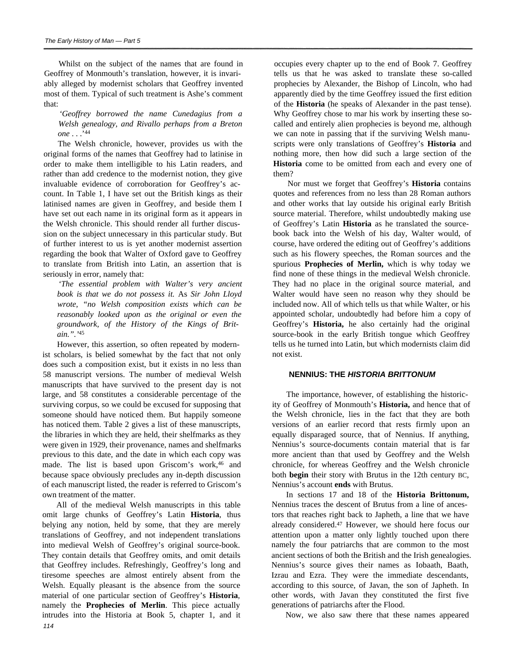Whilst on the subject of the names that are found in Geoffrey of Monmouth's translation, however, it is invariably alleged by modernist scholars that Geoffrey invented most of them. Typical of such treatment is Ashe's comment that:

## *'Geoffrey borrowed the name Cunedagius from a Welsh genealogy, and Rivallo perhaps from a Breton one* . . .'<sup>44</sup>

The Welsh chronicle, however, provides us with the original forms of the names that Geoffrey had to latinise in order to make them intelligible to his Latin readers, and rather than add credence to the modernist notion, they give invaluable evidence of corroboration for Geoffrey's account. In Table 1, I have set out the British kings as their latinised names are given in Geoffrey, and beside them I have set out each name in its original form as it appears in the Welsh chronicle. This should render all further discussion on the subject unnecessary in this particular study. But of further interest to us is yet another modernist assertion regarding the book that Walter of Oxford gave to Geoffrey to translate from British into Latin, an assertion that is seriously in error, namely that:

*'The essential problem with Walter's very ancient book is that we do not possess it.* As *Sir John Lloyd wrote, "no Welsh composition exists which can be reasonably looked upon as the original or even the groundwork, of the History of the Kings of Britain.".'*<sup>45</sup>

However, this assertion, so often repeated by modernist scholars, is belied somewhat by the fact that not only does such a composition exist, but it exists in no less than 58 manuscript versions. The number of medieval Welsh manuscripts that have survived to the present day is not large, and 58 constitutes a considerable percentage of the surviving corpus, so we could be excused for supposing that someone should have noticed them. But happily someone has noticed them. Table 2 gives a list of these manuscripts, the libraries in which they are held, their shelfmarks as they were given in 1929, their provenance, names and shelfmarks previous to this date, and the date in which each copy was made. The list is based upon Griscom's work,<sup>46</sup> and because space obviously precludes any in-depth discussion of each manuscript listed, the reader is referred to Griscom's own treatment of the matter.

All of the medieval Welsh manuscripts in this table omit large chunks of Geoffrey's Latin **Historia**, thus belying any notion, held by some, that they are merely translations of Geoffrey, and not independent translations into medieval Welsh of Geoffrey's original source-book. They contain details that Geoffrey omits, and omit details that Geoffrey includes. Refreshingly, Geoffrey's long and tiresome speeches are almost entirely absent from the Welsh. Equally pleasant is the absence from the source material of one particular section of Geoffrey's **Historia**, namely the **Prophecies of Merlin**. This piece actually intrudes into the Historia at Book 5, chapter 1, and it *114*

occupies every chapter up to the end of Book 7. Geoffrey tells us that he was asked to translate these so-called prophecies by Alexander, the Bishop of Lincoln, who had apparently died by the time Geoffrey issued the first edition of the **Historia** (he speaks of Alexander in the past tense). Why Geoffrey chose to mar his work by inserting these socalled and entirely alien prophecies is beyond me, although we can note in passing that if the surviving Welsh manuscripts were only translations of Geoffrey's **Historia** and nothing more, then how did such a large section of the **Historia** come to be omitted from each and every one of them?

Nor must we forget that Geoffrey's **Historia** contains quotes and references from no less than 28 Roman authors and other works that lay outside his original early British source material. Therefore, whilst undoubtedly making use of Geoffrey's Latin **Historia** as he translated the sourcebook back into the Welsh of his day, Walter would, of course, have ordered the editing out of Geoffrey's additions such as his flowery speeches, the Roman sources and the spurious **Prophecies of Merlin,** which is why today we find none of these things in the medieval Welsh chronicle. They had no place in the original source material, and Walter would have seen no reason why they should be included now. All of which tells us that while Walter, or his appointed scholar, undoubtedly had before him a copy of Geoffrey's **Historia,** he also certainly had the original source-book in the early British tongue which Geoffrey tells us he turned into Latin, but which modernists claim did not exist.

## **NENNIUS: THE** *HISTORIA BRITTONUM*

The importance, however, of establishing the historicity of Geoffrey of Monmouth's **Historia,** and hence that of the Welsh chronicle, lies in the fact that they are both versions of an earlier record that rests firmly upon an equally disparaged source, that of Nennius. If anything, Nennius's source-documents contain material that is far more ancient than that used by Geoffrey and the Welsh chronicle, for whereas Geoffrey and the Welsh chronicle both **begin** their story with Brutus in the 12th century BC, Nennius's account **ends** with Brutus.

In sections 17 and 18 of the **Historia Brittonum,** Nennius traces the descent of Brutus from a line of ancestors that reaches right back to Japheth, a line that we have already considered.<sup>47</sup> However, we should here focus our attention upon a matter only lightly touched upon there namely the four patriarchs that are common to the most ancient sections of both the British and the Irish genealogies. Nennius's source gives their names as Iobaath, Baath, Izrau and Ezra. They were the immediate descendants, according to this source, of Javan, the son of Japheth. In other words, with Javan they constituted the first five generations of patriarchs after the Flood.

Now, we also saw there that these names appeared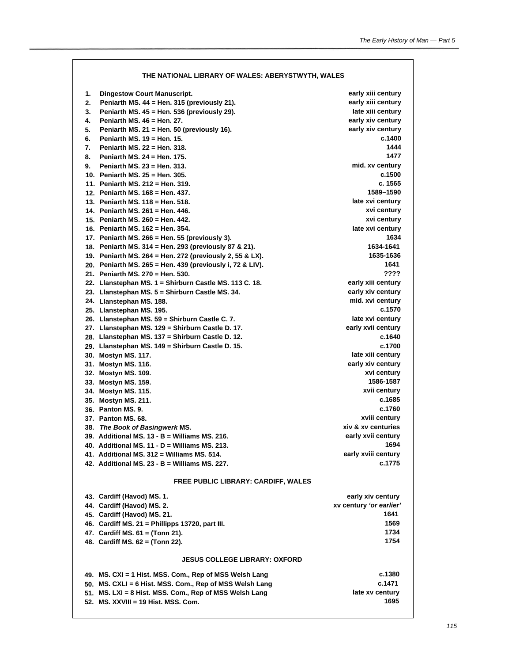|    | THE NATIONAL LIBRARY OF WALES: ABERYSTWYTH, WALES                    |                                  |
|----|----------------------------------------------------------------------|----------------------------------|
| 1. | <b>Dingestow Court Manuscript.</b>                                   | early xiii century               |
| 2. | Peniarth MS. 44 = Hen. 315 (previously 21).                          | early xiii century               |
| 3. | Peniarth MS. 45 = Hen. 536 (previously 29).                          | late xiii century                |
| 4. | Peniarth MS, 46 = Hen, 27.                                           | early xiv century                |
| 5. | Peniarth MS. 21 = Hen. 50 (previously 16).                           | early xiv century                |
| 6. | <b>Peniarth MS, 19 = Hen, 15,</b>                                    | c.1400                           |
| 7. | Peniarth MS, 22 = Hen, 318,                                          | 1444                             |
| 8. | Penjarth MS, 24 = Hen, 175.                                          | 1477                             |
| 9. | Penjarth MS, 23 = Hen, 313.                                          | mid. xv century                  |
|    | 10. Peniarth MS, 25 = Hen, 305.                                      | c.1500                           |
|    | 11. Peniarth MS, 212 = Hen, 319.                                     | c. 1565                          |
|    | 12. Peniarth MS, 168 = Hen, 437.                                     | 1589-1590<br>late xvi century    |
|    | 13. Peniarth MS, 118 = Hen, 518.<br>14. Peniarth MS, 261 = Hen, 446. | xvi century                      |
|    | 15. Peniarth MS, 260 = Hen, 442.                                     | xvi century                      |
|    | 16. Peniarth MS, 162 = Hen, 354.                                     | late xvi century                 |
|    | 17. Peniarth MS. 266 = Hen. 55 (previously 3).                       | 1634                             |
|    | 18. Peniarth MS. 314 = Hen. 293 (previously 87 & 21).                | 1634-1641                        |
|    | 19. Peniarth MS. 264 = Hen. 272 (previously 2, 55 & LX).             | 1635-1636                        |
|    | 20. Peniarth MS. 265 = Hen. 439 (previously i, 72 & LIV).            | 1641                             |
|    | 21. Peniarth MS. 270 = Hen. 530.                                     | ????                             |
|    | 22. Llanstephan MS. 1 = Shirburn Castle MS. 113 C. 18.               | early xiii century               |
|    | 23. Llanstephan MS. 5 = Shirburn Castle MS. 34.                      | early xiv century                |
|    | 24. Llanstephan MS. 188.                                             | mid. xvi century                 |
|    | 25. Llanstephan MS. 195.                                             | c.1570                           |
|    | 26. Llanstephan MS. 59 = Shirburn Castle C. 7.                       | late xvi century                 |
|    | 27. Llanstephan MS. 129 = Shirburn Castle D. 17.                     | early xvii century               |
|    | 28. Llanstephan MS. 137 = Shirburn Castle D. 12.                     | c.1640                           |
|    | 29. Llanstephan MS. 149 = Shirburn Castle D. 15.                     | c.1700                           |
|    | 30. Mostyn MS. 117.                                                  | late xiii century                |
|    | 31. Mostyn MS. 116.                                                  | early xiv century<br>xvi century |
|    | 32. Mostyn MS. 109.<br>33. Mostyn MS. 159.                           | 1586-1587                        |
|    | 34. Mostyn MS. 115.                                                  | xvii century                     |
|    | 35. Mostyn MS. 211.                                                  | c.1685                           |
|    | 36. Panton MS. 9.                                                    | c.1760                           |
|    | 37. Panton MS, 68.                                                   | xviii century                    |
|    | 38. The Book of Basingwerk MS.                                       | xiv & xv centuries               |
|    | 39. Additional MS, $13 - B =$ Williams MS, 216.                      | early xvii century               |
|    | 40. Additional MS, $11 - D =$ Williams MS, 213.                      | 1694                             |
|    | 41. Additional MS, 312 = Williams MS, 514.                           | early xviii century              |
|    | 42. Additional MS. $23 - B =$ Williams MS. 227.                      | c.1775                           |
|    | <b>FREE PUBLIC LIBRARY: CARDIFF, WALES</b>                           |                                  |
|    | 43. Cardiff (Havod) MS. 1.                                           | early xiv century                |
|    | 44. Cardiff (Havod) MS. 2.                                           | xv century 'or earlier'          |
|    | 45. Cardiff (Havod) MS. 21.                                          | 1641                             |
|    | 46. Cardiff MS. 21 = Phillipps 13720, part III.                      | 1569                             |
|    | 47. Cardiff MS. 61 = (Tonn 21).                                      | 1734                             |
|    | 48. Cardiff MS. 62 = (Tonn 22).                                      | 1754                             |
|    | <b>JESUS COLLEGE LIBRARY: OXFORD</b>                                 |                                  |
|    | 49. MS. CXI = 1 Hist. MSS. Com., Rep of MSS Welsh Lang               | c.1380                           |
|    | 50. MS. CXLI = 6 Hist. MSS. Com., Rep of MSS Welsh Lang              | c.1471                           |
|    | 51. MS. LXI = 8 Hist. MSS. Com., Rep of MSS Welsh Lang               | late xv century                  |
|    | 52. MS. XXVIII = 19 Hist. MSS. Com.                                  | 1695                             |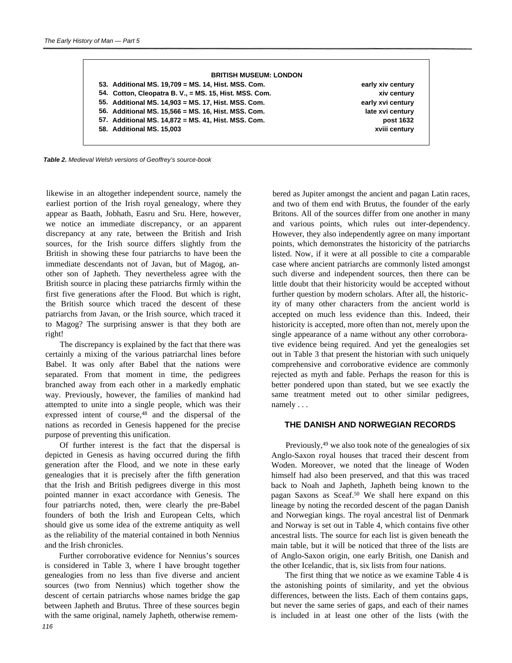| early xiv century | 53. Additional MS. 19,709 = MS. 14, Hist. MSS. Com.    |
|-------------------|--------------------------------------------------------|
| xiv century       | 54. Cotton, Cleopatra B. V., = MS. 15, Hist. MSS. Com. |
| early xvi century | 55. Additional MS. 14,903 = MS. 17, Hist. MSS. Com.    |
| late xvi century  | 56. Additional MS. 15,566 = MS. 16, Hist. MSS. Com.    |
| post 1632         | 57. Additional MS. 14,872 = MS. 41, Hist. MSS. Com.    |
| xviii century     | 58. Additional MS. 15,003                              |

*Table 2. Medieval Welsh versions of Geoffrey's source-book*

likewise in an altogether independent source, namely the earliest portion of the Irish royal genealogy, where they appear as Baath, Jobhath, Easru and Sru. Here, however, we notice an immediate discrepancy, or an apparent discrepancy at any rate, between the British and Irish sources, for the Irish source differs slightly from the British in showing these four patriarchs to have been the immediate descendants not of Javan, but of Magog, another son of Japheth. They nevertheless agree with the British source in placing these patriarchs firmly within the first five generations after the Flood. But which is right, the British source which traced the descent of these patriarchs from Javan, or the Irish source, which traced it to Magog? The surprising answer is that they both are right!

The discrepancy is explained by the fact that there was certainly a mixing of the various patriarchal lines before Babel. It was only after Babel that the nations were separated. From that moment in time, the pedigrees branched away from each other in a markedly emphatic way. Previously, however, the families of mankind had attempted to unite into a single people, which was their expressed intent of course,<sup>48</sup> and the dispersal of the nations as recorded in Genesis happened for the precise purpose of preventing this unification.

Of further interest is the fact that the dispersal is depicted in Genesis as having occurred during the fifth generation after the Flood, and we note in these early genealogies that it is precisely after the fifth generation that the Irish and British pedigrees diverge in this most pointed manner in exact accordance with Genesis. The four patriarchs noted, then, were clearly the pre-Babel founders of both the Irish and European Celts, which should give us some idea of the extreme antiquity as well as the reliability of the material contained in both Nennius and the Irish chronicles.

Further corroborative evidence for Nennius's sources is considered in Table 3, where I have brought together genealogies from no less than five diverse and ancient sources (two from Nennius) which together show the descent of certain patriarchs whose names bridge the gap between Japheth and Brutus. Three of these sources begin with the same original, namely Japheth, otherwise remem-

bered as Jupiter amongst the ancient and pagan Latin races, and two of them end with Brutus, the founder of the early Britons. All of the sources differ from one another in many and various points, which rules out inter-dependency. However, they also independently agree on many important points, which demonstrates the historicity of the patriarchs listed. Now, if it were at all possible to cite a comparable case where ancient patriarchs are commonly listed amongst such diverse and independent sources, then there can be little doubt that their historicity would be accepted without further question by modern scholars. After all, the historicity of many other characters from the ancient world is accepted on much less evidence than this. Indeed, their historicity is accepted, more often than not, merely upon the single appearance of a name without any other corroborative evidence being required. And yet the genealogies set out in Table 3 that present the historian with such uniquely comprehensive and corroborative evidence are commonly rejected as myth and fable. Perhaps the reason for this is better pondered upon than stated, but we see exactly the same treatment meted out to other similar pedigrees, namely . . .

## **THE DANISH AND NORWEGIAN RECORDS**

Previously,<sup>49</sup> we also took note of the genealogies of six Anglo-Saxon royal houses that traced their descent from Woden. Moreover, we noted that the lineage of Woden himself had also been preserved, and that this was traced back to Noah and Japheth, Japheth being known to the pagan Saxons as Sceaf.<sup>50</sup> We shall here expand on this lineage by noting the recorded descent of the pagan Danish and Norwegian kings. The royal ancestral list of Denmark and Norway is set out in Table 4, which contains five other ancestral lists. The source for each list is given beneath the main table, but it will be noticed that three of the lists are of Anglo-Saxon origin, one early British, one Danish and the other Icelandic, that is, six lists from four nations.

The first thing that we notice as we examine Table 4 is the astonishing points of similarity, and yet the obvious differences, between the lists. Each of them contains gaps, but never the same series of gaps, and each of their names is included in at least one other of the lists (with the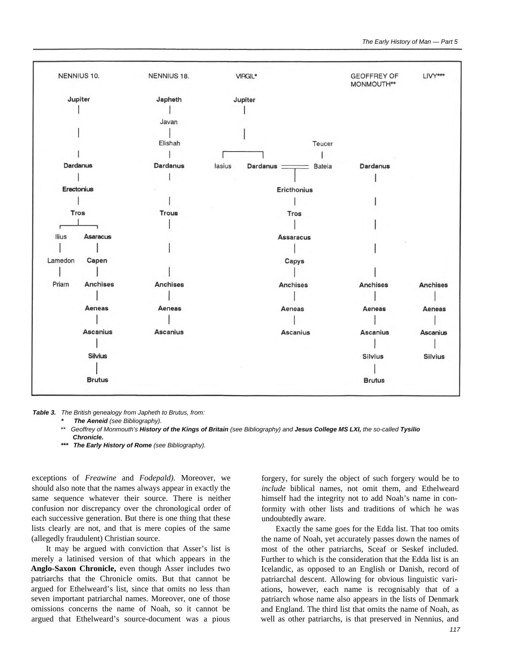

*Table 3. The British genealogy from Japheth to Brutus, from:*

*The Aeneid (see Bibliography).* 

- \*\* *Geoffrey of Monmouth's History of the Kings of Britain (see Bibliography) and Jesus College MS LXI, the so-called Tysilio Chronicle.*
- *\*\*\* The Early History of Rome (see Bibliography).*

exceptions of *Freawine* and *Fodepald).* Moreover, we should also note that the names always appear in exactly the same sequence whatever their source. There is neither confusion nor discrepancy over the chronological order of each successive generation. But there is one thing that these lists clearly are not, and that is mere copies of the same (allegedly fraudulent) Christian source.

It may be argued with conviction that Asser's list is merely a latinised version of that which appears in the **Anglo-Saxon Chronicle,** even though Asser includes two patriarchs that the Chronicle omits. But that cannot be argued for Ethelweard's list, since that omits no less than seven important patriarchal names. Moreover, one of those omissions concerns the name of Noah, so it cannot be argued that Ethelweard's source-document was a pious

forgery, for surely the object of such forgery would be to *include* biblical names, not omit them, and Ethelweard himself had the integrity not to add Noah's name in conformity with other lists and traditions of which he was undoubtedly aware.

Exactly the same goes for the Edda list. That too omits the name of Noah, yet accurately passes down the names of most of the other patriarchs, Sceaf or Seskef included. Further to which is the consideration that the Edda list is an Icelandic, as opposed to an English or Danish, record of patriarchal descent. Allowing for obvious linguistic variations, however, each name is recognisably that of a patriarch whose name also appears in the lists of Denmark and England. The third list that omits the name of Noah, as well as other patriarchs, is that preserved in Nennius, and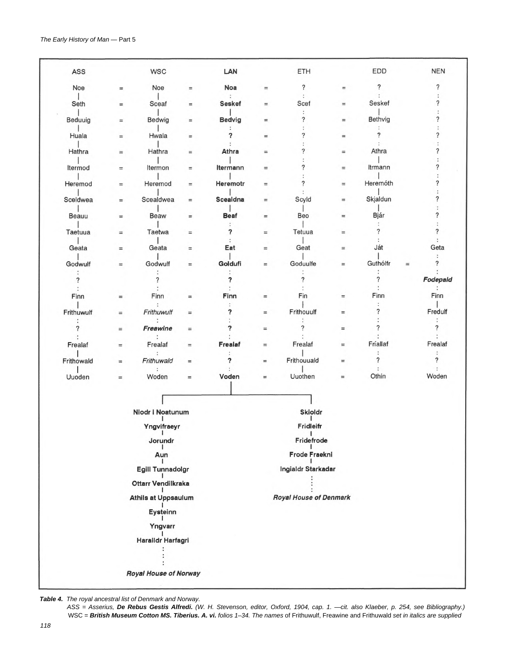| ASS          |          | <b>WSC</b>                   |          | LAN             |          | ETH                           |          | <b>EDD</b>               |          | <b>NEN</b>                         |  |
|--------------|----------|------------------------------|----------|-----------------|----------|-------------------------------|----------|--------------------------|----------|------------------------------------|--|
| Noe          | $\equiv$ | Noe                          | $=$      | <b>Noa</b>      | $\equiv$ | $\ddot{?}$                    | $\equiv$ | $\overline{\phantom{a}}$ |          | $\overline{\phantom{a}}$           |  |
| Seth         | $\equiv$ | Sceaf                        | $=$      | <b>Seskef</b>   | $=$      | $\ddot{\cdot}$<br>Scef        | $=$      | Seskef                   |          | ?                                  |  |
| Beduuig      | $\equiv$ | Bedwig                       | $=$      | <b>Bedvig</b>   | $=$      | :<br>?                        | $=$      | Bethvig                  |          | ?                                  |  |
| Huala        | $=$      | Hwala                        | $=$      | ?               | $\equiv$ | ?                             | $=$      | ?                        |          | ?                                  |  |
| Hathra       | $\equiv$ | Hathra                       | $\equiv$ | Athra           | $\equiv$ |                               | $=$      | Athra                    |          | ?                                  |  |
| Itermod      | $\equiv$ | Itermon                      | $=$      | Itermann        | $=$      | 7                             | $=$      | Itrmann                  |          | $\boldsymbol{?}$                   |  |
| Heremod      | $=$      | Heremod                      | $\equiv$ | Heremotr        | $\equiv$ | ?                             | $=$      | Heremóth                 |          | ?                                  |  |
| Sceldwea     | $=$      | Scealdwea                    | $\equiv$ | <b>Scealdna</b> | $\equiv$ | Scyld                         | $\equiv$ | Skjaldun                 |          | ?                                  |  |
| <b>Beauu</b> | $\equiv$ | <b>Beaw</b>                  | $=$      | <b>Beaf</b>     | $\equiv$ | Beo                           | $=$      | Bjár                     |          | ?                                  |  |
| Taetuua      | $=$      | Taetwa                       | $\equiv$ | ?               | $\equiv$ | Tetuua                        | $\equiv$ | ?                        |          | ?                                  |  |
| Geata        | $\equiv$ | Geata                        | $\equiv$ | Eat             | $\equiv$ | Geat                          | $\equiv$ | Ját                      |          | Geta                               |  |
| Godwulf      | $=$      | Godwulf                      | $=$      | Goldufi         | $\equiv$ | Goduulfe                      | $=$      | Guthólfr                 | $\equiv$ | $\ddot{\cdot}$<br>$\boldsymbol{?}$ |  |
| ?            |          | ?                            |          | ?               |          | ?                             |          | ?                        |          | Fodepald                           |  |
| Finn         | $\equiv$ | Finn                         | $\equiv$ | Finn            | $=$      | Fin                           | $\equiv$ | Finn                     |          | :<br>Finn                          |  |
| Frithuwulf   | $\equiv$ | $\ddot{\cdot}$<br>Frithuwulf | $\equiv$ | ?               | $=$      | Frithouulf                    | $=$      | ?                        |          | Fredulf                            |  |
| ?            | $\equiv$ | Freawine                     | $=$      | ?               | $=$      | ?                             | $\equiv$ | ?                        |          | ?                                  |  |
|              |          |                              |          |                 |          |                               |          | Fríallaf                 |          |                                    |  |
| Frealaf      | $\equiv$ | Frealaf                      | $\equiv$ | Frealaf         | $=$      | Frealaf                       | $=$      | $\ddot{\cdot}$           |          | Frealaf<br>:                       |  |
| Frithowald   | $\equiv$ | Frithuwald<br>$\ddot{\cdot}$ | $=$      | ?               | $\equiv$ | Frithouuald                   | $=$      | ?<br>÷                   |          | ?                                  |  |
| Uuoden       | $=$      | Woden                        | $\equiv$ | Voden           | $=$      | Uuothen                       | $\equiv$ | Othin                    |          | Woden                              |  |
|              |          |                              |          |                 |          |                               |          |                          |          |                                    |  |
|              |          | Niodr i Noatunum             |          |                 |          | <b>Skioldr</b>                |          |                          |          |                                    |  |
|              |          | Yngvifraeyr                  |          |                 |          | Fridleifr                     |          |                          |          |                                    |  |
|              |          | Jorundr                      |          |                 |          | $\mathbf{I}$<br>Fridefrode    |          |                          |          |                                    |  |
|              |          | Aun                          |          |                 |          | Frode Fraekni                 |          |                          |          |                                    |  |
|              |          | <b>Egill Tunnadolgr</b>      |          |                 |          | Ingialdr Starkadar            |          |                          |          |                                    |  |
|              |          | Ottarr Vendilkraka           |          |                 |          |                               |          |                          |          |                                    |  |
|              |          | <b>Athils at Uppsaulum</b>   |          |                 |          | <b>Royal House of Denmark</b> |          |                          |          |                                    |  |
|              |          | Eysteinn                     |          |                 |          |                               |          |                          |          |                                    |  |
|              |          | Yngvarr                      |          |                 |          |                               |          |                          |          |                                    |  |
|              |          | Haralldr Harfagri            |          |                 |          |                               |          |                          |          |                                    |  |
|              |          |                              |          |                 |          |                               |          |                          |          |                                    |  |
|              |          |                              |          |                 |          |                               |          |                          |          |                                    |  |
|              |          | <b>Royal House of Norway</b> |          |                 |          |                               |          |                          |          |                                    |  |

*Table 4. The royal ancestral list of Denmark and Norway.*

*ASS = Asserius, De Rebus Gestis Alfredi. (W. H. Stevenson, editor, Oxford, 1904, cap. 1.* —*cit. also Klaeber, p. 254, see Bibliography.)* WSC = *British Museum Cotton MS. Tiberius. A. vi. folios 1–34. The names* of Frithuwulf, Freawine and Frithuwald *set in italics are supplied*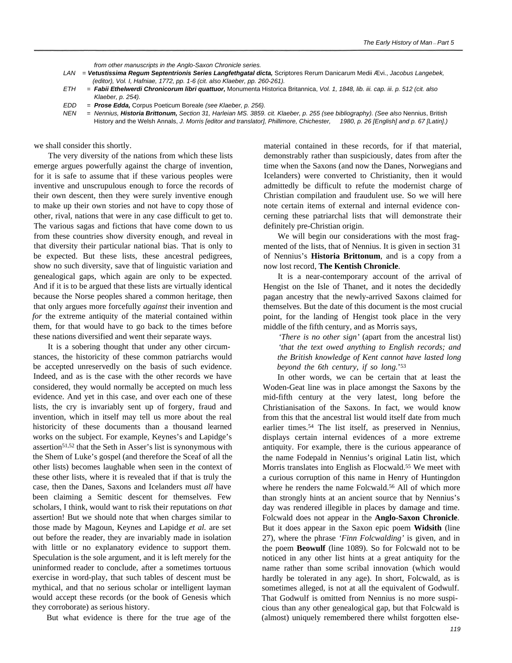*from other manuscripts in the Anglo-Saxon Chronicle series.*

- *LAN* = *Vetustissima Regum Septentrionis Series Langfethgatal dicta,* Scriptores Rerum Danicarum Medii Ævi., *Jacobus Langebek, (editor), Vol. I, Hafniae, 1772, pp. 1-6 (cit. also Klaeber, pp. 260-261).*
- *ETH = Fabii Ethelwerdi Chronicorum libri quattuor,* Monumenta Historica Britannica, *Vol. 1, 1848, lib. iii. cap. iii. p. 512 (cit. also Klaeber, p. 254).*
- *EDD = Prose Edda,* Corpus Poeticum Boreale *(see Klaeber, p. 256).*
- *NEN* = *Nennius, Historia Brittonum, Section 31, Harleian MS. 3859. cit. Klaeber, p. 255 (see bibliography). (See also* Nennius, British History and the Welsh Annals, *J. Morris [editor and translator], Phillimore, Chichester, 1980, p. 26 [English] and p. 67 [Latin].)*

we shall consider this shortly.

The very diversity of the nations from which these lists emerge argues powerfully against the charge of invention, for it is safe to assume that if these various peoples were inventive and unscrupulous enough to force the records of their own descent, then they were surely inventive enough to make up their own stories and not have to copy those of other, rival, nations that were in any case difficult to get to. The various sagas and fictions that have come down to us from these countries show diversity enough, and reveal in that diversity their particular national bias. That is only to be expected. But these lists, these ancestral pedigrees, show no such diversity, save that of linguistic variation and genealogical gaps, which again are only to be expected. And if it is to be argued that these lists are virtually identical because the Norse peoples shared a common heritage, then that only argues more forcefully *against* their invention and *for* the extreme antiquity of the material contained within them, for that would have to go back to the times before these nations diversified and went their separate ways.

It is a sobering thought that under any other circumstances, the historicity of these common patriarchs would be accepted unreservedly on the basis of such evidence. Indeed, and as is the case with the other records we have considered, they would normally be accepted on much less evidence. And yet in this case, and over each one of these lists, the cry is invariably sent up of forgery, fraud and invention, which in itself may tell us more about the real historicity of these documents than a thousand learned works on the subject. For example, Keynes's and Lapidge's assertion51,52 that the Seth in Asser's list is synonymous with the Shem of Luke's gospel (and therefore the Sceaf of all the other lists) becomes laughable when seen in the context of these other lists, where it is revealed that if that is truly the case, then the Danes, Saxons and Icelanders must *all* have been claiming a Semitic descent for themselves. Few scholars, I think, would want to risk their reputations on *that* assertion! But we should note that when charges similar to those made by Magoun, Keynes and Lapidge *et al.* are set out before the reader, they are invariably made in isolation with little or no explanatory evidence to support them. Speculation is the sole argument, and it is left merely for the uninformed reader to conclude, after a sometimes tortuous exercise in word-play, that such tables of descent must be mythical, and that no serious scholar or intelligent layman would accept these records (or the book of Genesis which they corroborate) as serious history.

But what evidence is there for the true age of the

material contained in these records, for if that material, demonstrably rather than suspiciously, dates from after the time when the Saxons (and now the Danes, Norwegians and Icelanders) were converted to Christianity, then it would admittedly be difficult to refute the modernist charge of Christian compilation and fraudulent use. So we will here note certain items of external and internal evidence concerning these patriarchal lists that will demonstrate their definitely pre-Christian origin.

We will begin our considerations with the most fragmented of the lists, that of Nennius. It is given in section 31 of Nennius's **Historia Brittonum**, and is a copy from a now lost record, **The Kentish Chronicle**.

It is a near-contemporary account of the arrival of Hengist on the Isle of Thanet, and it notes the decidedly pagan ancestry that the newly-arrived Saxons claimed for themselves. But the date of this document is the most crucial point, for the landing of Hengist took place in the very middle of the fifth century, and as Morris says,

*'There is no other sign'* (apart from the ancestral list) *'that the text owed anything to English records; and the British knowledge of Kent cannot have lasted long beyond the 6th century, if so long.*' 53

In other words, we can be certain that at least the Woden-Geat line was in place amongst the Saxons by the mid-fifth century at the very latest, long before the Christianisation of the Saxons. In fact, we would know from this that the ancestral list would itself date from much earlier times.<sup>54</sup> The list itself, as preserved in Nennius, displays certain internal evidences of a more extreme antiquity. For example, there is the curious appearance of the name Fodepald in Nennius's original Latin list, which Morris translates into English as Flocwald.<sup>55</sup> We meet with a curious corruption of this name in Henry of Huntingdon where he renders the name Folcwald.<sup>56</sup> All of which more than strongly hints at an ancient source that by Nennius's day was rendered illegible in places by damage and time. Folcwald does not appear in the **Anglo-Saxon Chronicle**. But it does appear in the Saxon epic poem **Widsith** (line 27), where the phrase *'Finn Folcwalding'* is given, and in the poem **Beowulf** (line 1089). So for Folcwald not to be noticed in any other list hints at a great antiquity for the name rather than some scribal innovation (which would hardly be tolerated in any age). In short, Folcwald, as is sometimes alleged, is not at all the equivalent of Godwulf. That Godwulf is omitted from Nennius is no more suspicious than any other genealogical gap, but that Folcwald is (almost) uniquely remembered there whilst forgotten else-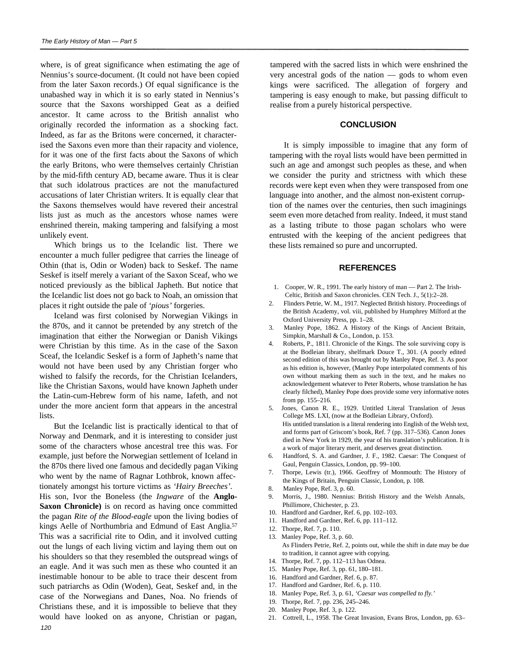where, is of great significance when estimating the age of Nennius's source-document. (It could not have been copied from the later Saxon records.) Of equal significance is the unabashed way in which it is so early stated in Nennius's source that the Saxons worshipped Geat as a deified ancestor. It came across to the British annalist who originally recorded the information as a shocking fact. Indeed, as far as the Britons were concerned, it characterised the Saxons even more than their rapacity and violence, for it was one of the first facts about the Saxons of which the early Britons, who were themselves certainly Christian by the mid-fifth century AD, became aware. Thus it is clear that such idolatrous practices are not the manufactured accusations of later Christian writers. It is equally clear that the Saxons themselves would have revered their ancestral lists just as much as the ancestors whose names were enshrined therein, making tampering and falsifying a most unlikely event.

Which brings us to the Icelandic list. There we encounter a much fuller pedigree that carries the lineage of Othin (that is, Odin or Woden) back to Seskef. The name Seskef is itself merely a variant of the Saxon Sceaf, who we noticed previously as the biblical Japheth. But notice that the Icelandic list does not go back to Noah, an omission that places it right outside the pale of *'pious'* forgeries.

Iceland was first colonised by Norwegian Vikings in the 870s, and it cannot be pretended by any stretch of the imagination that either the Norwegian or Danish Vikings were Christian by this time. As in the case of the Saxon Sceaf, the Icelandic Seskef is a form of Japheth's name that would not have been used by any Christian forger who wished to falsify the records, for the Christian Icelanders, like the Christian Saxons, would have known Japheth under the Latin-cum-Hebrew form of his name, Iafeth, and not under the more ancient form that appears in the ancestral lists.

But the Icelandic list is practically identical to that of Norway and Denmark, and it is interesting to consider just some of the characters whose ancestral tree this was. For example, just before the Norwegian settlement of Iceland in the 870s there lived one famous and decidedly pagan Viking who went by the name of Ragnar Lothbrok, known affectionately amongst his torture victims as *'Hairy Breeches'.* His son, Ivor the Boneless (the *Ingware* of the **Anglo-Saxon Chronicle)** is on record as having once committed the pagan *Rite of the Blood-eagle* upon the living bodies of kings Aelle of Northumbria and Edmund of East Anglia.<sup>57</sup> This was a sacrificial rite to Odin, and it involved cutting out the lungs of each living victim and laying them out on his shoulders so that they resembled the outspread wings of an eagle. And it was such men as these who counted it an inestimable honour to be able to trace their descent from such patriarchs as Odin (Woden), Geat, Seskef and, in the case of the Norwegians and Danes, Noa. No friends of Christians these, and it is impossible to believe that they would have looked on as anyone, Christian or pagan, *120*

tampered with the sacred lists in which were enshrined the very ancestral gods of the nation — gods to whom even kings were sacrificed. The allegation of forgery and tampering is easy enough to make, but passing difficult to realise from a purely historical perspective.

## **CONCLUSION**

It is simply impossible to imagine that any form of tampering with the royal lists would have been permitted in such an age and amongst such peoples as these, and when we consider the purity and strictness with which these records were kept even when they were transposed from one language into another, and the almost non-existent corruption of the names over the centuries, then such imaginings seem even more detached from reality. Indeed, it must stand as a lasting tribute to those pagan scholars who were entrusted with the keeping of the ancient pedigrees that these lists remained so pure and uncorrupted.

## **REFERENCES**

- 1. Cooper, W. R., 1991. The early history of man Part 2. The Irish-Celtic, British and Saxon chronicles. CEN Tech. J., 5(1):2–28.
- 2. Flinders Petrie, W. M., 1917. Neglected British history. Proceedings of the British Academy, vol. viii, published by Humphrey Milford at the Oxford University Press, pp. 1–28.
- 3. Manley Pope, 1862. A History of the Kings of Ancient Britain, Simpkin, Marshall & Co., London, p. 153.
- 4. Roberts, P., 1811. Chronicle of the Kings. The sole surviving copy is at the Bodleian library, shelfmark Douce T., 301. (A poorly edited second edition of this was brought out by Manley Pope, Ref. 3. As poor as his edition is, however, (Manley Pope interpolated comments of his own without marking them as such in the text, and he makes no acknowledgement whatever to Peter Roberts, whose translation he has clearly filched), Manley Pope does provide some very informative notes from pp. 155–216.
- 5. Jones, Canon R. E., 1929. Untitled Literal Translation of Jesus College MS. LXI, (now at the Bodleian Library, Oxford). His untitled translation is a literal rendering into English of the Welsh text, and forms part of Griscom's book, Ref. 7 (pp. 317–536). Canon Jones died in New York in 1929, the year of his translation's publication. It is a work of major literary merit, and deserves great distinction.
- 6. Handford, S. A. and Gardner, J. F., 1982. Caesar: The Conquest of Gaul, Penguin Classics, London, pp. 99–100.
- 7. Thorpe, Lewis (tr.), 1966. Geoffrey of Monmouth: The History of the Kings of Britain, Penguin Classic, London, p. 108.
- 8. Manley Pope, Ref. 3, p. 60.
- 9. Morris, J., 1980. Nennius: British History and the Welsh Annals, Phillimore, Chichester, p. 23.
- 10. Handford and Gardner, Ref. 6, pp. 102–103.
- 11. Handford and Gardner, Ref. 6, pp. 111–112.
- 12. Thorpe, Ref. 7, p. 110. 13. Manley Pope, Ref. 3, p. 60. As Flinders Petrie, Ref. 2, points out, while the shift in date may be due to tradition, it cannot agree with copying.
- 14. Thorpe, Ref. 7, pp. 112–113 has Odnea.
- 15. Manley Pope, Ref. 3, pp. 61, 180–181.
- 16. Handford and Gardner, Ref. 6, p. 87.
- 17. Handford and Gardner, Ref. 6, p. 110.
- 18. Manley Pope, Ref. 3, p. 61, *'Caesar was compelled to fly.'*
- 19. Thorpe, Ref. 7, pp. 236, 245–246.
- 20. Manley Pope, Ref. 3, p. 122.
- 21. Cottrell, L., 1958. The Great Invasion, Evans Bros, London, pp. 63–